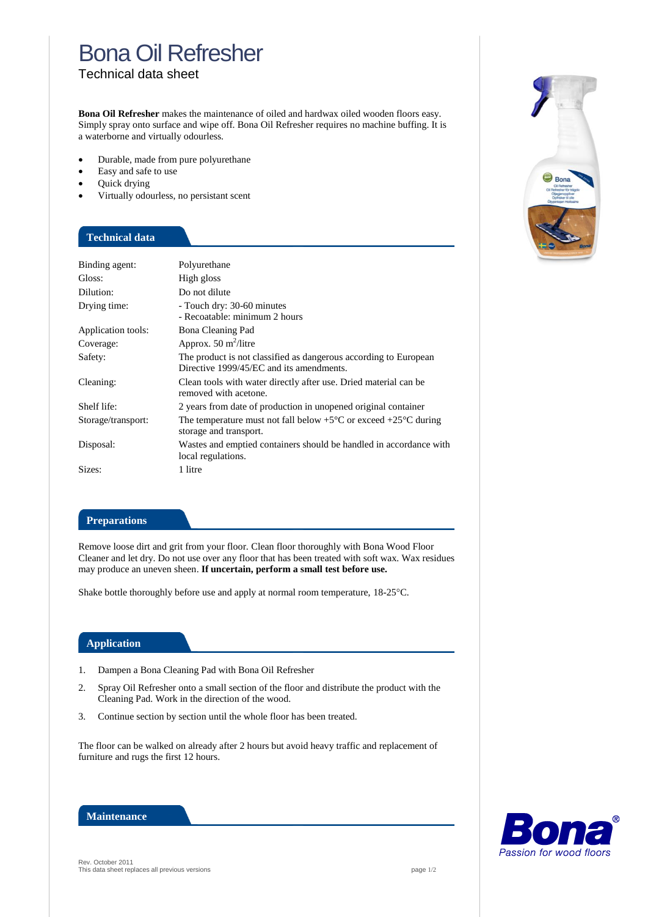# Bona Oil Refresher

Technical data sheet

**Bona Oil Refresher** makes the maintenance of oiled and hardwax oiled wooden floors easy. Simply spray onto surface and wipe off. Bona Oil Refresher requires no machine buffing. It is a waterborne and virtually odourless.

- Durable, made from pure polyurethane
- Easy and safe to use
- Quick drying
- Virtually odourless, no persistant scent

### **Technical data**

| Binding agent:     | Polyurethane                                                                                                  |
|--------------------|---------------------------------------------------------------------------------------------------------------|
| Gloss:             | High gloss                                                                                                    |
| Dilution:          | Do not dilute                                                                                                 |
| Drying time:       | - Touch dry: 30-60 minutes<br>- Recoatable: minimum 2 hours                                                   |
| Application tools: | Bona Cleaning Pad                                                                                             |
| Coverage:          | Approx. $50 \text{ m}^2$ /litre                                                                               |
| Safety:            | The product is not classified as dangerous according to European<br>Directive 1999/45/EC and its amendments.  |
| Cleaning:          | Clean tools with water directly after use. Dried material can be<br>removed with acetone.                     |
| Shelf life:        | 2 years from date of production in unopened original container                                                |
| Storage/transport: | The temperature must not fall below $+5^{\circ}$ C or exceed $+25^{\circ}$ C during<br>storage and transport. |
| Disposal:          | Wastes and emptied containers should be handled in accordance with<br>local regulations.                      |
| Sizes:             | 1 litre                                                                                                       |

#### **Preparations**

Remove loose dirt and grit from your floor. Clean floor thoroughly with Bona Wood Floor Cleaner and let dry. Do not use over any floor that has been treated with soft wax. Wax residues may produce an uneven sheen. **If uncertain, perform a small test before use.**

Shake bottle thoroughly before use and apply at normal room temperature,  $18-25^{\circ}$ C.

#### **Application**

- 1. Dampen a Bona Cleaning Pad with Bona Oil Refresher
- 2. Spray Oil Refresher onto a small section of the floor and distribute the product with the Cleaning Pad. Work in the direction of the wood.
- 3. Continue section by section until the whole floor has been treated.

The floor can be walked on already after 2 hours but avoid heavy traffic and replacement of furniture and rugs the first 12 hours.



Passion for wood floors